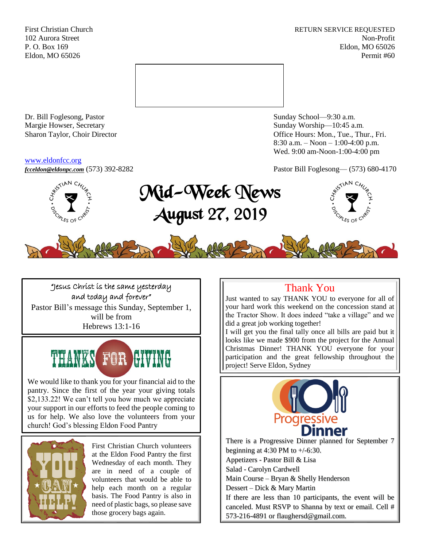First Christian Church **RETURN SERVICE REQUESTED** 102 Aurora Street Non-Profit P. O. Box 169 Eldon, MO 65026 Eldon, MO 65026 Permit #60



Dr. Bill Foglesong, Pastor Sunday School—9:30 a.m.<br>
Margie Howser, Secretary Sunday Worship—10:45 a.

#### [www.eldonfcc.org](http://www.eldonfcc.org/)

Sunday Worship—10:45 a.m. Sharon Taylor, Choir Director **Calcular Control** Control Control Control Control Control Control Control Control Control Control Control Control Control Control Control Control Control Control Control Control Control Contr 8:30 a.m. – Noon – 1:00-4:00 p.m. Wed. 9:00 am-Noon-1:00-4:00 pm



# "Jesus Christ is the same yesterday and today and forever"

Pastor Bill's message this Sunday, September 1, will be from Hebrews 13:1-16



We would like to thank you for your financial aid to the pantry. Since the first of the year your giving totals \$2,133.22! We can't tell you how much we appreciate your support in our efforts to feed the people coming to us for help. We also love the volunteers from your church! God's blessing Eldon Food Pantry

l



First Christian Church volunteers at the Eldon Food Pantry the first Wednesday of each month. They are in need of a couple of volunteers that would be able to help each month on a regular basis. The Food Pantry is also in need of plastic bags, so please save those grocery bags again.

# Thank You

Just wanted to say THANK YOU to everyone for all of your hard work this weekend on the concession stand at the Tractor Show. It does indeed "take a village" and we did a great job working together!

I will get you the final tally once all bills are paid but it looks like we made \$900 from the project for the Annual Christmas Dinner! THANK YOU everyone for your participation and the great fellowship throughout the project! Serve Eldon, Sydney



There is a Progressive Dinner planned for September 7 beginning at 4:30 PM to  $+/-6$ :30. Appetizers - Pastor Bill & Lisa Salad - Carolyn Cardwell Main Course – Bryan & Shelly Henderson Dessert – Dick & Mary Martin If there are less than 10 participants, the event will be canceled. Must RSVP to Shanna by text or email. Cell # 573-216-4891 or flaughersd@gmail.com.